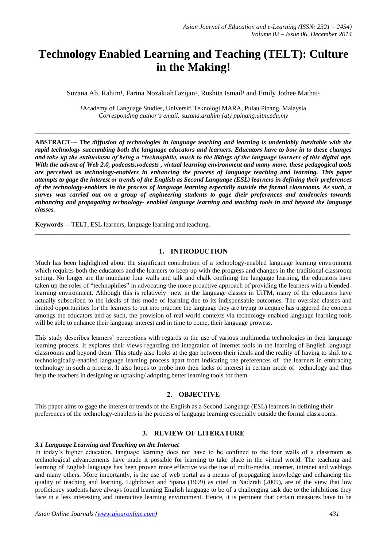# **Technology Enabled Learning and Teaching (TELT): Culture in the Making!**

Suzana Ab. Rahim<sup>1</sup>, Farina NozakiahTazijan<sup>1</sup>, Rushita Ismail<sup>1</sup> and Emily Jothee Mathai<sup>1</sup>

<sup>1</sup> Academy of Language Studies, Universiti Teknologi MARA, Pulau Pinang, Malaysia *Corresponding author's email: suzana.arahim {at} ppinang.uitm.edu.my*

\_\_\_\_\_\_\_\_\_\_\_\_\_\_\_\_\_\_\_\_\_\_\_\_\_\_\_\_\_\_\_\_\_\_\_\_\_\_\_\_\_\_\_\_\_\_\_\_\_\_\_\_\_\_\_\_\_\_\_\_\_\_\_\_\_\_\_\_\_\_\_\_\_\_\_\_\_\_\_\_\_\_\_\_\_\_\_\_\_\_\_\_\_\_\_\_\_

**ABSTRACT---** *The diffusion of technologies in language teaching and learning is undeniably inevitable with the rapid technology succumbing both the language educators and learners. Educators have to bow in to these changes and take up the enthusiasm of being a "technophile, much to the likings of the language learners of this digital age. With the advent of Web 2.0, podcasts,vodcasts , virtual learning environment and many more, these pedagogical tools are perceived as technology-enablers in enhancing the process of language teaching and learning. This paper attempts to gage the interest or trends of the English as Second Language (ESL) learners in defining their preferences of the technology-enablers in the process of language learning especially outside the formal classrooms. As such, a survey was carried out on a group of engineering students to gage their preferences and tendencies towards enhancing and propagating technology- enabled language learning and teaching tools in and beyond the language classes.*

**Keywords---** TELT, ESL learners, language learning and teaching.

# **1. INTRODUCTION**

 $\_$  ,  $\_$  ,  $\_$  ,  $\_$  ,  $\_$  ,  $\_$  ,  $\_$  ,  $\_$  ,  $\_$  ,  $\_$  ,  $\_$  ,  $\_$  ,  $\_$  ,  $\_$  ,  $\_$  ,  $\_$  ,  $\_$  ,  $\_$  ,  $\_$  ,  $\_$  ,  $\_$  ,  $\_$  ,  $\_$  ,  $\_$  ,  $\_$  ,  $\_$  ,  $\_$  ,  $\_$  ,  $\_$  ,  $\_$  ,  $\_$  ,  $\_$  ,  $\_$  ,  $\_$  ,  $\_$  ,  $\_$  ,  $\_$  ,

Much has been highlighted about the significant contribution of a technology-enabled language learning environment which requires both the educators and the learners to keep up with the progress and changes in the traditional classroom setting. No longer are the mundane four walls and talk and chalk confining the language learning, the educators have taken up the roles of "technophiles" in advocating the more proactive approach of providing the learners with a blendedlearning environment. Although this is relatively new in the language classes in UiTM, many of the educators have actually subscribed to the ideals of this mode of learning due to its indispensable outcomes. The oversize classes and limited opportunities for the learners to put into practice the language they are trying to acquire has triggered the concern amongs the educators and as such, the provision of real world contexts via technology-enabled language learning tools will be able to enhance their language interest and in time to come, their language prowess.

This study describes learners' perceptions with regards to the use of various multimedia technologies in their language learning process. It explores their views regarding the integration of Internet tools in the learning of English language classrooms and beyond them. This study also looks at the gap between their ideals and the reality of having to shift to a technologically-enabled language learning process apart from indicating the preferences of the learners in embracing technology in such a process. It also hopes to probe into their lacks of interest in certain mode of technology and thus help the teachers in designing or uptaking/ adopting better learning tools for them.

## **2. OBJECTIVE**

This paper aims to gage the interest or trends of the English as a Second Language (ESL) learners in defining their preferences of the technology-enablers in the process of language learning especially outside the formal classrooms*.*

## **3. REVIEW OF LITERATURE**

#### *3.1 Language Learning and Teaching on the Internet*

In today's higher education, language learning does not have to be confined to the four walls of a classroom as technological advancements have made it possible for learning to take place in the virtual world. The teaching and learning of English language has been proven more effective via the use of multi-media, internet, intranet and weblogs and many others. More importantly, is the use of web portal as a means of propagating knowledge and enhancing the quality of teaching and learning. Lightbown and Spana (1999) as cited in Nadzrah (2009), are of the view that low proficiency students have always found learning English language to be of a challenging task due to the inhibitions they face in a less interesting and interactive learning environment. Hence, it is pertinent that certain measures have to be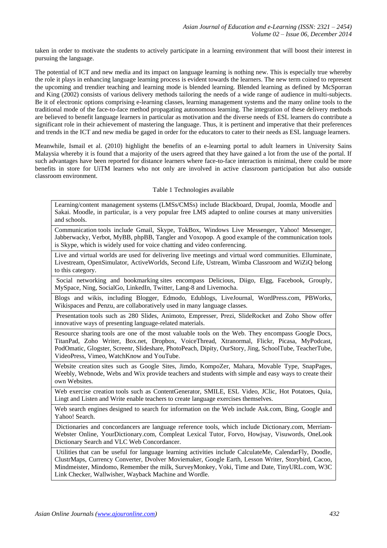taken in order to motivate the students to actively participate in a learning environment that will boost their interest in pursuing the language.

The potential of ICT and new media and its impact on language learning is nothing new. This is especially true whereby the role it plays in enhancing language learning process is evident towards the learners. The new term coined to represent the upcoming and trendier teaching and learning mode is blended learning. Blended learning as defined by McSporran and King (2002) consists of various delivery methods tailoring the needs of a wide range of audience in multi-subjects. Be it of electronic options comprising e-learning classes, learning management systems and the many online tools to the traditional mode of the face-to-face method propagating autonomous learning. The integration of these delivery methods are believed to benefit language learners in particular as motivation and the diverse needs of ESL learners do contribute a significant role in their achievement of mastering the language. Thus, it is pertinent and imperative that their preferences and trends in the ICT and new media be gaged in order for the educators to cater to their needs as ESL language learners.

Meanwhile, Ismail et al. (2010) highlight the benefits of an e-learning portal to adult learners in University Sains Malaysia whereby it is found that a majority of the users agreed that they have gained a lot from the use of the portal. If such advantages have been reported for distance learners where face-to-face interaction is minimal, there could be more benefits in store for UiTM learners who not only are involved in active classroom participation but also outside classroom environment.

## Table 1 Technologies available

 Learning/content management systems (LMSs/CMSs) include Blackboard, Drupal, Joomla, Moodle and Sakai. Moodle, in particular, is a very popular free LMS adapted to online courses at many universities and schools.

 Communication tools include Gmail, Skype, TokBox, Windows Live Messenger, Yahoo! Messenger, Jabberwacky, Verbot, MyBB, phpBB, Tangler and Voxopop. A good example of the communication tools is Skype, which is widely used for voice chatting and video conferencing.

 Live and virtual worlds are used for delivering live meetings and virtual word communities. Elluminate, Livestream, OpenSimulator, ActiveWorlds, Second Life, Ustream, Wimba Classroom and WiZiQ belong to this category.

 Social networking and bookmarking sites encompass Delicious, Diigo, Elgg, Facebook, Grouply, MySpace, Ning, SocialGo, LinkedIn, Twitter, Lang-8 and Livemocha.

 Blogs and wikis, including Blogger, Edmodo, Edublogs, LiveJournal, WordPress.com, PBWorks, Wikispaces and Penzu, are collaboratively used in many language classes.

 Presentation tools such as 280 Slides, Animoto, Empresser, Prezi, SlideRocket and Zoho Show offer innovative ways of presenting language-related materials.

 Resource sharing tools are one of the most valuable tools on the Web. They encompass Google Docs, TitanPad, Zoho Writer, Box.net, Dropbox, VoiceThread, Xtranormal, Flickr, Picasa, MyPodcast, PodOmatic, Glogster, Screenr, Slideshare, PhotoPeach, Dipity, OurStory, Jing, SchoolTube, TeacherTube, VideoPress, Vimeo, WatchKnow and YouTube.

 Website creation sites such as Google Sites, Jimdo, KompoZer, Mahara, Movable Type, SnapPages, Weebly, Webnode, Webs and Wix provide teachers and students with simple and easy ways to create their own Websites.

 Web exercise creation tools such as ContentGenerator, SMILE, ESL Video, JClic, Hot Potatoes, Quia, Lingt and Listen and Write enable teachers to create language exercises themselves.

 Web search engines designed to search for information on the Web include Ask.com, Bing, Google and Yahoo! Search.

 Dictionaries and concordancers are language reference tools, which include Dictionary.com, Merriam-Webster Online, YourDictionary.com, Compleat Lexical Tutor, Forvo, Howjsay, Visuwords, OneLook Dictionary Search and VLC Web Concordancer.

 Utilities that can be useful for language learning activities include CalculateMe, CalendarFly, Doodle, ClustrMaps, Currency Converter, Dvolver Moviemaker, Google Earth, Lesson Writer, Storybird, Cacoo, Mindmeister, Mindomo, Remember the milk, SurveyMonkey, Voki, Time and Date, TinyURL.com, W3C Link Checker, Wallwisher, Wayback Machine and Wordle.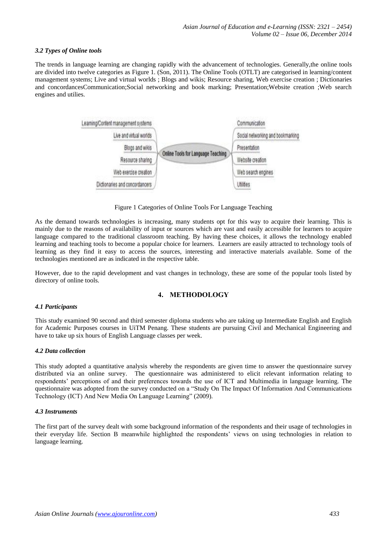## *3.2 Types of Online tools*

The trends in language learning are changing rapidly with the advancement of technologies. Generally,the online tools are divided into twelve categories as Figure 1. (Son, 2011). The Online Tools (OTLT) are categorised in learning/content management systems; Live and virtual worlds ; Blogs and wikis; Resource sharing, Web exercise creation ; Dictionaries and concordancesCommunication;Social networking and book marking; Presentation;Website creation ;Web search engines and utilies.



Figure 1 Categories of Online Tools For Language Teaching

As the demand towards technologies is increasing, many students opt for this way to acquire their learning. This is mainly due to the reasons of availability of input or sources which are vast and easily accessible for learners to acquire language compared to the traditional classroom teaching. By having these choices, it allows the technology enabled learning and teaching tools to become a popular choice for learners. Learners are easily attracted to technology tools of learning as they find it easy to access the sources, interesting and interactive materials available. Some of the technologies mentioned are as indicated in the respective table.

However, due to the rapid development and vast changes in technology, these are some of the popular tools listed by directory of online tools.

# **4. METHODOLOGY**

#### *4.1 Participants*

This study examined 90 second and third semester diploma students who are taking up Intermediate English and English for Academic Purposes courses in UiTM Penang. These students are pursuing Civil and Mechanical Engineering and have to take up six hours of English Language classes per week.

#### *4.2 Data collection*

This study adopted a quantitative analysis whereby the respondents are given time to answer the questionnaire survey distributed via an online survey. The questionnaire was administered to elicit relevant information relating to respondents' perceptions of and their preferences towards the use of ICT and Multimedia in language learning. The questionnaire was adopted from the survey conducted on a "Study On The Impact Of Information And Communications Technology (ICT) And New Media On Language Learning" (2009).

## *4.3 Instruments*

The first part of the survey dealt with some background information of the respondents and their usage of technologies in their everyday life. Section B meanwhile highlighted the respondents' views on using technologies in relation to language learning.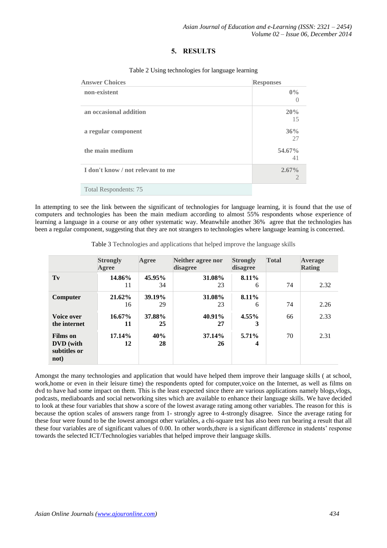# **5. RESULTS**

| <b>Answer Choices</b>             | <b>Responses</b> |
|-----------------------------------|------------------|
| non-existent                      | $0\%$            |
| an occasional addition            | 20%<br>15        |
| a regular component               | 36%<br>27        |
| the main medium                   | 54.67%<br>41     |
| I don't know / not relevant to me | 2.67%<br>2       |
| <b>Total Respondents: 75</b>      |                  |

#### Table 2 Using technologies for language learning

In attempting to see the link between the significant of technologies for language learning, it is found that the use of computers and technologies has been the main medium according to almost 55% respondents whose experience of learning a language in a course or any other systematic way. Meanwhile another 36% agree that the technologies has been a regular component, suggesting that they are not strangers to technologies where language learning is concerned.

Table 3 Technologies and applications that helped improve the language skills

|                                                      | <b>Strongly</b><br>Agree | Agree        | Neither agree nor<br>disagree | <b>Total</b><br><b>Strongly</b><br>disagree |    | Average<br><b>Rating</b> |
|------------------------------------------------------|--------------------------|--------------|-------------------------------|---------------------------------------------|----|--------------------------|
| Tv                                                   | 14.86%<br>11             | 45.95%<br>34 | 31.08%<br>23                  | $8.11\%$<br>6                               | 74 | 2.32                     |
| Computer                                             | 21.62%<br>16             | 39.19%<br>29 | 31.08%<br>23                  | 8.11%<br>6                                  | 74 | 2.26                     |
| Voice over<br>the internet                           | $16.67\%$<br>11          | 37.88%<br>25 | 40.91%<br>27                  | $4.55\%$<br>3                               | 66 | 2.33                     |
| <b>Films</b> on<br>DVD (with<br>subtitles or<br>not) | 17.14%<br>12             | 40%<br>28    | 37.14%<br>26                  | $5.71\%$<br>4                               | 70 | 2.31                     |

Amongst the many technologies and application that would have helped them improve their language skills ( at school, work,home or even in their leisure time) the respondents opted for computer,voice on the Internet, as well as films on dvd to have had some impact on them. This is the least expected since there are various applications namely blogs,vlogs, podcasts, mediaboards and social networking sites which are available to enhance their language skills. We have decided to look at these four variables that show a score of the lowest avarage rating among other variables. The reason for this is because the option scales of answers range from 1- strongly agree to 4-strongly disagree. Since the average rating for these four were found to be the lowest amongst other variables, a chi-square test has also been run bearing a result that all these four variables are of significant values of 0.00. In other words,there is a significant difference in students' response towards the selected ICT/Technologies variables that helped improve their language skills.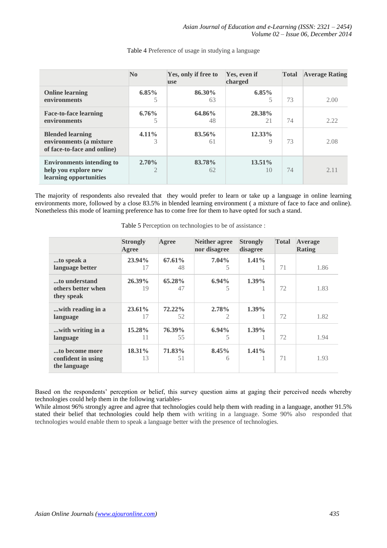|                                                                                    | N <sub>0</sub>             | Yes, only if free to<br><b>use</b> | Yes, even if<br>charged     | <b>Total</b> | <b>Average Rating</b> |
|------------------------------------------------------------------------------------|----------------------------|------------------------------------|-----------------------------|--------------|-----------------------|
| <b>Online learning</b><br>environments                                             | $6.85\%$<br>5              | 86.30%<br>63                       | $6.85\%$<br>5               | 73           | 2.00                  |
| <b>Face-to-face learning</b><br>environments                                       | 6.76%<br>5                 | 64.86%<br>48                       | 28.38%<br>21                | 74           | 2.22                  |
| <b>Blended learning</b><br>environments (a mixture<br>of face-to-face and online)  | $4.11\%$<br>3              | 83.56%<br>61                       | $12.33\%$<br>$\overline{Q}$ | 73           | 2.08                  |
| <b>Environments intending to</b><br>help you explore new<br>learning opportunities | $2.70\%$<br>$\overline{2}$ | 83.78%<br>62                       | $13.51\%$<br>10             | 74           | 2.11                  |

Table 4 Preference of usage in studying a language

The majority of respondents also revealed that they would prefer to learn or take up a language in online learning environments more, followed by a close 83.5% in blended learning environment ( a mixture of face to face and online). Nonetheless this mode of learning preference has to come free for them to have opted for such a stand.

|                                                      | <b>Strongly</b><br>Agree | Agree           | Neither agree<br>nor disagree | <b>Strongly</b><br>disagree | <b>Total</b> | Average<br><b>Rating</b> |
|------------------------------------------------------|--------------------------|-----------------|-------------------------------|-----------------------------|--------------|--------------------------|
| to speak a<br>language better                        | 23.94%<br>17             | $67.61\%$<br>48 | $7.04\%$<br>5                 | $1.41\%$                    | 71           | 1.86                     |
| to understand                                        | $26.39\%$                | 65.28%          | $6.94\%$                      | $1.39\%$                    |              |                          |
| others better when<br>they speak                     | 19                       | 47              | 5                             |                             | 72           | 1.83                     |
| with reading in a<br>language                        | $23.61\%$<br>17          | 72.22%<br>52    | 2.78%<br>2                    | $1.39\%$                    | 72           | 1.82                     |
| with writing in a<br>language                        | 15.28%<br>11             | 76.39%<br>55    | $6.94\%$<br>5                 | $1.39\%$<br>1               | 72           | 1.94                     |
| to become more<br>confident in using<br>the language | 18.31%<br>13             | 71.83%<br>51    | 8.45%<br>6                    | $1.41\%$<br>1               | 71           | 1.93                     |

Table 5 Perception on technologies to be of assistance :

Based on the respondents' perception or belief, this survey question aims at gaging their perceived needs whereby technologies could help them in the following variables-

While almost 96% strongly agree and agree that technologies could help them with reading in a language, another 91.5% stated their belief that technologies could help them with writing in a language. Some 90% also responded that technologies would enable them to speak a language better with the presence of technologies.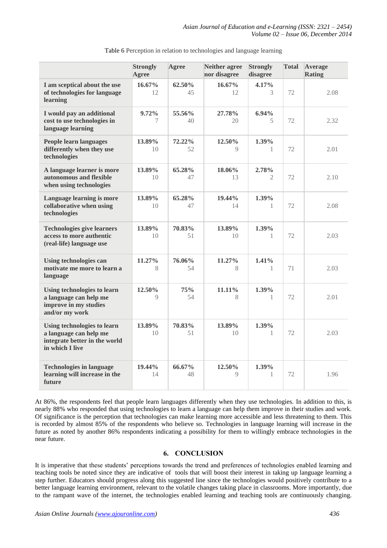|                                                                                                           | <b>Strongly</b><br>Agree  | Agree        | <b>Neither agree</b><br>nor disagree | <b>Strongly</b><br>disagree | <b>Total</b> | Average<br><b>Rating</b> |
|-----------------------------------------------------------------------------------------------------------|---------------------------|--------------|--------------------------------------|-----------------------------|--------------|--------------------------|
| I am sceptical about the use<br>of technologies for language<br>learning                                  | 16.67%<br>12              | 62.50%<br>45 | $16.67\%$<br>12                      | 4.17%<br>3                  | 72           | 2.08                     |
| I would pay an additional<br>cost to use technologies in<br>language learning                             | 9.72%<br>7                | 55.56%<br>40 | 27.78%<br>20                         | $6.94\%$<br>5               | 72           | 2.32                     |
| People learn languages<br>differently when they use<br>technologies                                       | 13.89%<br>10 <sup>2</sup> | 72.22%<br>52 | 12.50%<br>$\mathbf Q$                | 1.39%<br>$\mathbf{1}$       | 72           | 2.01                     |
| A language learner is more<br>autonomous and flexible<br>when using technologies                          | 13.89%<br>10              | 65.28%<br>47 | 18.06%<br>13                         | 2.78%<br>2                  | 72           | 2.10                     |
| Language learning is more<br>collaborative when using<br>technologies                                     | 13.89%<br>10              | 65.28%<br>47 | 19.44%<br>14                         | 1.39%<br>-1                 | 72           | 2.08                     |
| <b>Technologies give learners</b><br>access to more authentic<br>(real-life) language use                 | 13.89%<br>10              | 70.83%<br>51 | 13.89%<br>10                         | 1.39%<br>1                  | 72           | 2.03                     |
| <b>Using technologies can</b><br>motivate me more to learn a<br>language                                  | 11.27%<br>8               | 76.06%<br>54 | 11.27%<br>8                          | $1.41\%$<br>1               | 71           | 2.03                     |
| Using technologies to learn<br>a language can help me<br>improve in my studies<br>and/or my work          | 12.50%<br>9               | 75%<br>54    | 11.11%<br>8                          | 1.39%<br>1                  | 72           | 2.01                     |
| Using technologies to learn<br>a language can help me<br>integrate better in the world<br>in which I live | 13.89%<br>10              | 70.83%<br>51 | 13.89%<br>10                         | 1.39%<br>1                  | 72           | 2.03                     |
| <b>Technologies in language</b><br>learning will increase in the<br>future                                | 19.44%<br>14              | 66.67%<br>48 | 12.50%<br>$\mathbf Q$                | 1.39%<br>1                  | 72           | 1.96                     |

Table 6 Perception in relation to technologies and language learning

At 86%, the respondents feel that people learn languages differently when they use technologies. In addition to this, is nearly 88% who responded that using technologies to learn a language can help them improve in their studies and work. Of significance is the perception that technologies can make learning more accessible and less threatening to them. This is recorded by almost 85% of the respondents who believe so. Technologies in language learning will increase in the future as noted by another 86% respondents indicating a possibility for them to willingly embrace technologies in the near future.

# **6. CONCLUSION**

It is imperative that these students' perceptions towards the trend and preferences of technologies enabled learning and teaching tools be noted since they are indicative of tools that will boost their interest in taking up language learning a step further. Educators should progress along this suggested line since the technologies would positively contribute to a better language learning environment, relevant to the volatile changes taking place in classrooms. More importantly, due to the rampant wave of the internet, the technologies enabled learning and teaching tools are continuously changing.